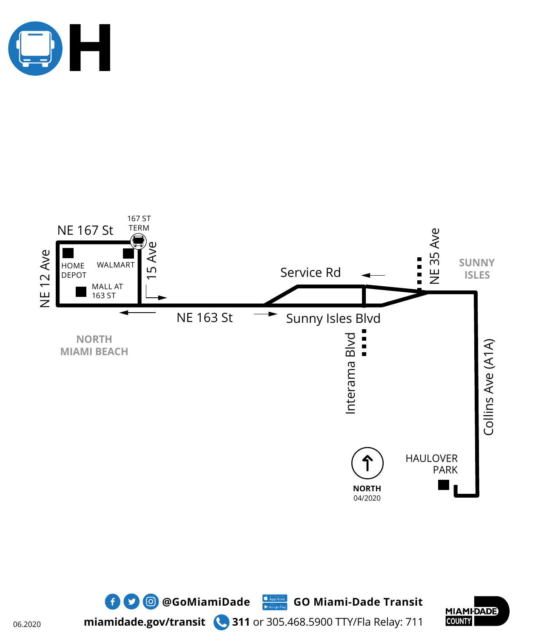







**miamidade.gov/transit 311** or 305.468.5900 TTY/Fla Relay: 711